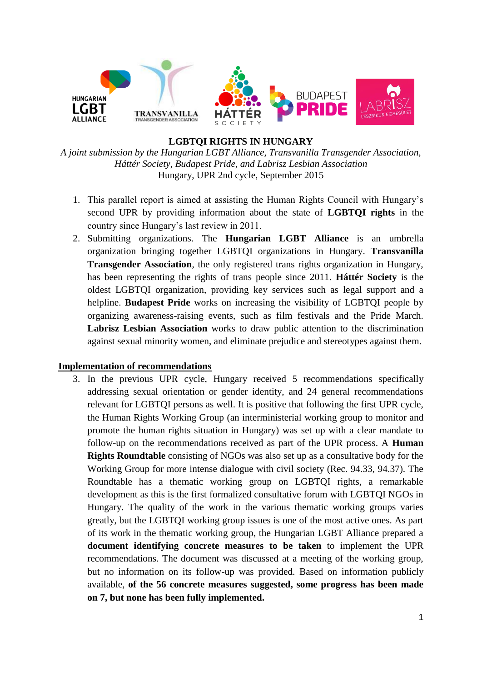

#### **LGBTQI RIGHTS IN HUNGARY**

*A joint submission by the Hungarian LGBT Alliance, Transvanilla Transgender Association, Háttér Society, Budapest Pride, and Labrisz Lesbian Association* Hungary, UPR 2nd cycle, September 2015

- 1. This parallel report is aimed at assisting the Human Rights Council with Hungary's second UPR by providing information about the state of **LGBTQI rights** in the country since Hungary's last review in 2011.
- 2. Submitting organizations. The **Hungarian LGBT Alliance** is an umbrella organization bringing together LGBTQI organizations in Hungary. **Transvanilla Transgender Association**, the only registered trans rights organization in Hungary, has been representing the rights of trans people since 2011. **Háttér Society** is the oldest LGBTQI organization, providing key services such as legal support and a helpline. **Budapest Pride** works on increasing the visibility of LGBTQI people by organizing awareness-raising events, such as film festivals and the Pride March. **Labrisz Lesbian Association** works to draw public attention to the discrimination against sexual minority women, and eliminate prejudice and stereotypes against them.

#### **Implementation of recommendations**

3. In the previous UPR cycle, Hungary received 5 recommendations specifically addressing sexual orientation or gender identity, and 24 general recommendations relevant for LGBTQI persons as well. It is positive that following the first UPR cycle, the Human Rights Working Group (an interministerial working group to monitor and promote the human rights situation in Hungary) was set up with a clear mandate to follow-up on the recommendations received as part of the UPR process. A **Human Rights Roundtable** consisting of NGOs was also set up as a consultative body for the Working Group for more intense dialogue with civil society (Rec. 94.33, 94.37). The Roundtable has a thematic working group on LGBTQI rights, a remarkable development as this is the first formalized consultative forum with LGBTQI NGOs in Hungary. The quality of the work in the various thematic working groups varies greatly, but the LGBTQI working group issues is one of the most active ones. As part of its work in the thematic working group, the Hungarian LGBT Alliance prepared a **document identifying concrete measures to be taken** to implement the UPR recommendations. The document was discussed at a meeting of the working group, but no information on its follow-up was provided. Based on information publicly available, **of the 56 concrete measures suggested, some progress has been made on 7, but none has been fully implemented.**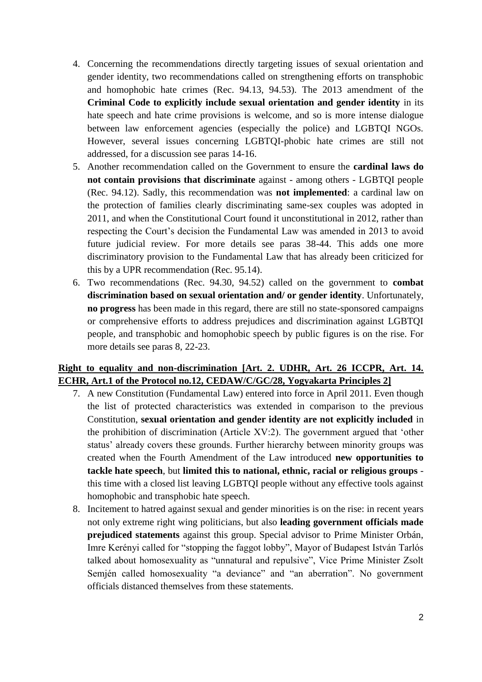- 4. Concerning the recommendations directly targeting issues of sexual orientation and gender identity, two recommendations called on strengthening efforts on transphobic and homophobic hate crimes (Rec. 94.13, 94.53). The 2013 amendment of the **Criminal Code to explicitly include sexual orientation and gender identity** in its hate speech and hate crime provisions is welcome, and so is more intense dialogue between law enforcement agencies (especially the police) and LGBTQI NGOs. However, several issues concerning LGBTQI-phobic hate crimes are still not addressed, for a discussion see paras 14-16.
- 5. Another recommendation called on the Government to ensure the **cardinal laws do not contain provisions that discriminate** against - among others - LGBTQI people (Rec. 94.12). Sadly, this recommendation was **not implemented**: a cardinal law on the protection of families clearly discriminating same-sex couples was adopted in 2011, and when the Constitutional Court found it unconstitutional in 2012, rather than respecting the Court's decision the Fundamental Law was amended in 2013 to avoid future judicial review. For more details see paras 38-44. This adds one more discriminatory provision to the Fundamental Law that has already been criticized for this by a UPR recommendation (Rec. 95.14).
- 6. Two recommendations (Rec. 94.30, 94.52) called on the government to **combat discrimination based on sexual orientation and/ or gender identity**. Unfortunately, **no progress** has been made in this regard, there are still no state-sponsored campaigns or comprehensive efforts to address prejudices and discrimination against LGBTQI people, and transphobic and homophobic speech by public figures is on the rise. For more details see paras 8, 22-23.

#### **Right to equality and non-discrimination [Art. 2. UDHR, Art. 26 ICCPR, Art. 14. ECHR, Art.1 of the Protocol no.12, CEDAW/C/GC/28, Yogyakarta Principles 2]**

- 7. A new Constitution (Fundamental Law) entered into force in April 2011. Even though the list of protected characteristics was extended in comparison to the previous Constitution, **sexual orientation and gender identity are not explicitly included** in the prohibition of discrimination (Article XV:2). The government argued that 'other status' already covers these grounds. Further hierarchy between minority groups was created when the Fourth Amendment of the Law introduced **new opportunities to tackle hate speech**, but **limited this to national, ethnic, racial or religious groups**  this time with a closed list leaving LGBTQI people without any effective tools against homophobic and transphobic hate speech.
- 8. Incitement to hatred against sexual and gender minorities is on the rise: in recent years not only extreme right wing politicians, but also **leading government officials made prejudiced statements** against this group. Special advisor to Prime Minister Orbán, Imre Kerényi called for "stopping the faggot lobby", Mayor of Budapest István Tarlós talked about homosexuality as "unnatural and repulsive", Vice Prime Minister Zsolt Semjén called homosexuality "a deviance" and "an aberration". No government officials distanced themselves from these statements.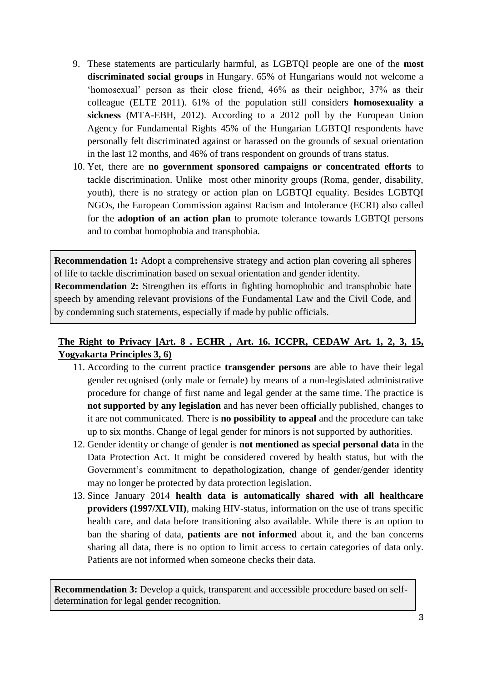- 9. These statements are particularly harmful, as LGBTQI people are one of the **most discriminated social groups** in Hungary. 65% of Hungarians would not welcome a 'homosexual' person as their close friend, 46% as their neighbor, 37% as their colleague (ELTE 2011). 61% of the population still considers **homosexuality a sickness** (MTA-EBH, 2012). According to a 2012 poll by the European Union Agency for Fundamental Rights 45% of the Hungarian LGBTQI respondents have personally felt discriminated against or harassed on the grounds of sexual orientation in the last 12 months, and 46% of trans respondent on grounds of trans status.
- 10. Yet, there are **no government sponsored campaigns or concentrated efforts** to tackle discrimination. Unlike most other minority groups (Roma, gender, disability, youth), there is no strategy or action plan on LGBTQI equality. Besides LGBTQI NGOs, the European Commission against Racism and Intolerance (ECRI) also called for the **adoption of an action plan** to promote tolerance towards LGBTQI persons and to combat homophobia and transphobia.

**Recommendation 1:** Adopt a comprehensive strategy and action plan covering all spheres of life to tackle discrimination based on sexual orientation and gender identity.

**Recommendation 2:** Strengthen its efforts in fighting homophobic and transphobic hate speech by amending relevant provisions of the Fundamental Law and the Civil Code, and by condemning such statements, especially if made by public officials.

# **The Right to Privacy [Art. 8 . ECHR , Art. 16. ICCPR, CEDAW Art. 1, 2, 3, 15, Yogyakarta Principles 3, 6)**

- 11. According to the current practice **transgender persons** are able to have their legal gender recognised (only male or female) by means of a non-legislated administrative procedure for change of first name and legal gender at the same time. The practice is **not supported by any legislation** and has never been officially published, changes to it are not communicated. There is **no possibility to appeal** and the procedure can take up to six months. Change of legal gender for minors is not supported by authorities.
- 12. Gender identity or change of gender is **not mentioned as special personal data** in the Data Protection Act. It might be considered covered by health status, but with the Government's commitment to depathologization, change of gender/gender identity may no longer be protected by data protection legislation.
- 13. Since January 2014 **health data is automatically shared with all healthcare providers (1997/XLVII)**, making HIV-status, information on the use of trans specific health care, and data before transitioning also available. While there is an option to ban the sharing of data, **patients are not informed** about it, and the ban concerns sharing all data, there is no option to limit access to certain categories of data only. Patients are not informed when someone checks their data.

**Recommendation 3:** Develop a quick, transparent and accessible procedure based on selfdetermination for legal gender recognition.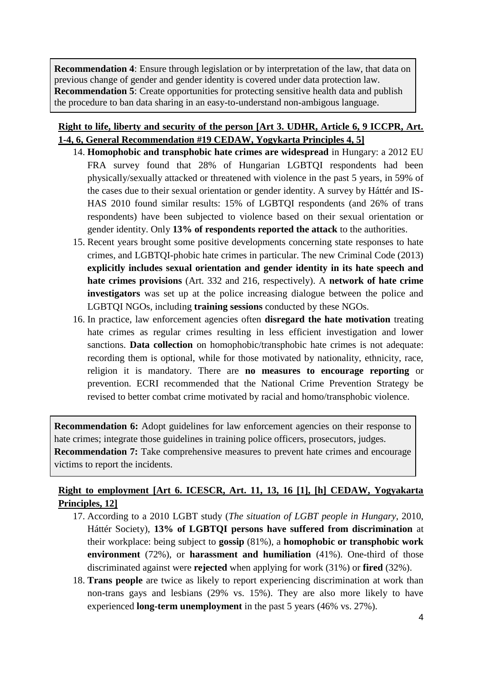**Recommendation 4**: Ensure through legislation or by interpretation of the law, that data on previous change of gender and gender identity is covered under data protection law. **Recommendation 5**: Create opportunities for protecting sensitive health data and publish the procedure to ban data sharing in an easy-to-understand non-ambigous language.

## **Right to life, liberty and security of the person [Art 3. UDHR, Article 6, 9 ICCPR, Art. 1-4, 6, General Recommendation #19 CEDAW, Yogykarta Principles 4, 5]**

- 14. **Homophobic and transphobic hate crimes are widespread** in Hungary: a 2012 EU FRA survey found that 28% of Hungarian LGBTQI respondents had been physically/sexually attacked or threatened with violence in the past 5 years, in 59% of the cases due to their sexual orientation or gender identity. A survey by Háttér and IS-HAS 2010 found similar results: 15% of LGBTQI respondents (and 26% of trans respondents) have been subjected to violence based on their sexual orientation or gender identity. Only **13% of respondents reported the attack** to the authorities.
- 15. Recent years brought some positive developments concerning state responses to hate crimes, and LGBTQI-phobic hate crimes in particular. The new Criminal Code (2013) **explicitly includes sexual orientation and gender identity in its hate speech and hate crimes provisions** (Art. 332 and 216, respectively). A **network of hate crime investigators** was set up at the police increasing dialogue between the police and LGBTQI NGOs, including **training sessions** conducted by these NGOs.
- 16. In practice, law enforcement agencies often **disregard the hate motivation** treating hate crimes as regular crimes resulting in less efficient investigation and lower sanctions. **Data collection** on homophobic/transphobic hate crimes is not adequate: recording them is optional, while for those motivated by nationality, ethnicity, race, religion it is mandatory. There are **no measures to encourage reporting** or prevention. ECRI recommended that the National Crime Prevention Strategy be revised to better combat crime motivated by racial and homo/transphobic violence.

**Recommendation 6:** Adopt guidelines for law enforcement agencies on their response to hate crimes; integrate those guidelines in training police officers, prosecutors, judges. **Recommendation 7:** Take comprehensive measures to prevent hate crimes and encourage victims to report the incidents.

# **Right to employment [Art 6. ICESCR, Art. 11, 13, 16 [1], [h] CEDAW, Yogyakarta Principles, 12]**

- 17. According to a 2010 LGBT study (*The situation of LGBT people in Hungary*, 2010, Háttér Society), **13% of LGBTQI persons have suffered from discrimination** at their workplace: being subject to **gossip** (81%), a **homophobic or transphobic work environment** (72%), or **harassment and humiliation** (41%). One-third of those discriminated against were **rejected** when applying for work (31%) or **fired** (32%).
- 18. **Trans people** are twice as likely to report experiencing discrimination at work than non-trans gays and lesbians (29% vs. 15%). They are also more likely to have experienced **long-term unemployment** in the past 5 years (46% vs. 27%).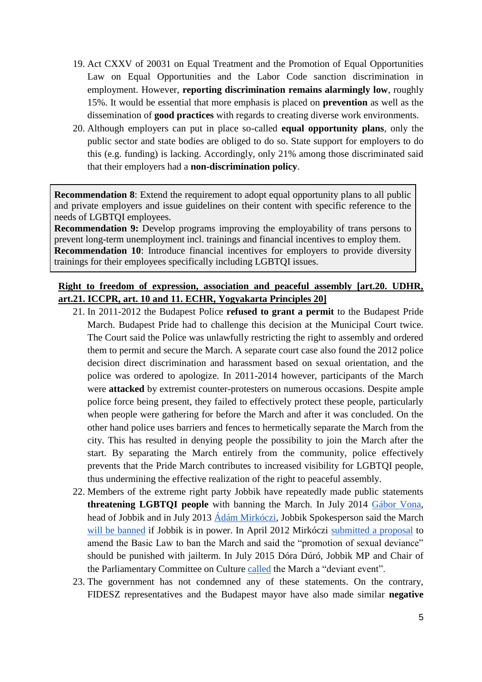- 19. Act CXXV of 20031 on Equal Treatment and the Promotion of Equal Opportunities Law on Equal Opportunities and the Labor Code sanction discrimination in employment. However, **reporting discrimination remains alarmingly low**, roughly 15%. It would be essential that more emphasis is placed on **prevention** as well as the dissemination of **good practices** with regards to creating diverse work environments.
- 20. Although employers can put in place so-called **equal opportunity plans**, only the public sector and state bodies are obliged to do so. State support for employers to do this (e.g. funding) is lacking. Accordingly, only 21% among those discriminated said that their employers had a **non-discrimination policy**.

**Recommendation 8**: Extend the requirement to adopt equal opportunity plans to all public and private employers and issue guidelines on their content with specific reference to the needs of LGBTQI employees.

**Recommendation 9:** Develop programs improving the employability of trans persons to prevent long-term unemployment incl. trainings and financial incentives to employ them. **Recommendation 10:** Introduce financial incentives for employers to provide diversity trainings for their employees specifically including LGBTQI issues.

### **Right to freedom of expression, association and peaceful assembly [art.20. UDHR, art.21. ICCPR, art. 10 and 11. ECHR, Yogyakarta Principles 20]**

- 21. In 2011-2012 the Budapest Police **refused to grant a permit** to the Budapest Pride March. Budapest Pride had to challenge this decision at the Municipal Court twice. The Court said the Police was unlawfully restricting the right to assembly and ordered them to permit and secure the March. A separate court case also found the 2012 police decision direct discrimination and harassment based on sexual orientation, and the police was ordered to apologize. In 2011-2014 however, participants of the March were **attacked** by extremist counter-protesters on numerous occasions. Despite ample police force being present, they failed to effectively protect these people, particularly when people were gathering for before the March and after it was concluded. On the other hand police uses barriers and fences to hermetically separate the March from the city. This has resulted in denying people the possibility to join the March after the start. By separating the March entirely from the community, police effectively prevents that the Pride March contributes to increased visibility for LGBTQI people, thus undermining the effective realization of the right to peaceful assembly.
- 22. Members of the extreme right party Jobbik have repeatedly made public statements **threatening LGBTQI people** with banning the March. In July 2014 [Gábor Vona,](http://444.hu/2014/07/05/ha-a-jobbik-lesz-hatalmon-a-bajtarsiassag-napja-lesz-pride-helyett/) head of Jobbik and in July 2013 <u>Ádám Mirkóczi</u>, Jobbik Spokesperson said the March [will be banned](http://444.hu/2014/07/05/ha-a-jobbik-lesz-hatalmon-a-bajtarsiassag-napja-lesz-pride-helyett/) if Jobbik is in power. In April 2012 Mirkóczi [submitted a proposal](http://mandiner.hu/cikk/20120411_bortonnel_buntetne_a_homoszexualitas_nepszerusiteset_a_jobbik) to amend the Basic Law to ban the March and said the "promotion of sexual deviance" should be punished with jailterm. In July 2015 Dóra Dúró, Jobbik MP and Chair of the Parliamentary Committee on Culture [called](http://www.ma.hu/belfold/254818/A_Jobbik_betiltana_tarsadalmilag_karos_a_Pride) the March a "deviant event".
- 23. The government has not condemned any of these statements. On the contrary, FIDESZ representatives and the Budapest mayor have also made similar **negative**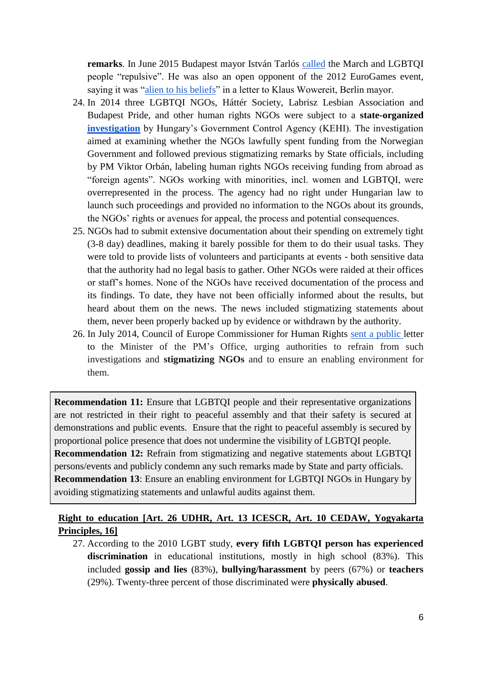**remarks**. In June 2015 Budapest mayor István Tarlós [called](http://index.hu/belfold/2015/06/04/tarlos_a_pride_visszataszito/) the March and LGBTQI people "repulsive". He was also an open opponent of the 2012 EuroGames event, saying it was ["alien to his beliefs"](http://www.politics.hu/20111229/budapest-mayor-opposes-citys-gay-olympics-next-year/) in a letter to Klaus Wowereit, Berlin mayor.

- 24. In 2014 three LGBTQI NGOs, Háttér Society, Labrisz Lesbian Association and Budapest Pride, and other human rights NGOs were subject to a **state-organized [investigation](http://www.ft.com/intl/cms/s/0/274e6f82-0846-11e4-9380-00144feab7de.html#axzz3jjEDJIsi)** by Hungary's Government Control Agency (KEHI). The investigation aimed at examining whether the NGOs lawfully spent funding from the Norwegian Government and followed previous stigmatizing remarks by State officials, including by PM Viktor Orbán, labeling human rights NGOs receiving funding from abroad as "foreign agents". NGOs working with minorities, incl. women and LGBTQI, were overrepresented in the process. The agency had no right under Hungarian law to launch such proceedings and provided no information to the NGOs about its grounds, the NGOs' rights or avenues for appeal, the process and potential consequences.
- 25. NGOs had to submit extensive documentation about their spending on extremely tight (3-8 day) deadlines, making it barely possible for them to do their usual tasks. They were told to provide lists of volunteers and participants at events - both sensitive data that the authority had no legal basis to gather. Other NGOs were raided at their offices or staff's homes. None of the NGOs have received documentation of the process and its findings. To date, they have not been officially informed about the results, but heard about them on the news. The news included stigmatizing statements about them, never been properly backed up by evidence or withdrawn by the authority.
- 26. In July 2014, Council of Europe Commissioner for Human Rights [sent a public l](http://www.coe.int/en/web/commissioner/country-report/hungary/-/asset_publisher/hKTqZqCwoY6P/content/commissioner-expresses-concern-over-ngos-in-hungary?inheritRedirect=false&redirect=http%3A%2F%2Fwww.coe.int%2Fen%2Fweb%2Fcommissioner%2Fcountry-report%2Fhungary%3Fp_p_id%3D101_INSTANCE_hKTqZqCwoY6P%26p_p_lifecycle%3D0%26p_p_state%3Dnormal%26p_p_mode%3Dview%26p_p_col_id%3Dcolumn-1%26p_p_col_count%3D1)etter to the Minister of the PM's Office, urging authorities to refrain from such investigations and **stigmatizing NGOs** and to ensure an enabling environment for them.

**Recommendation 11:** Ensure that LGBTQI people and their representative organizations are not restricted in their right to peaceful assembly and that their safety is secured at demonstrations and public events. Ensure that the right to peaceful assembly is secured by proportional police presence that does not undermine the visibility of LGBTQI people. **Recommendation 12:** Refrain from stigmatizing and negative statements about LGBTQI persons/events and publicly condemn any such remarks made by State and party officials. **Recommendation 13**: Ensure an enabling environment for LGBTQI NGOs in Hungary by avoiding stigmatizing statements and unlawful audits against them.

## **Right to education [Art. 26 UDHR, Art. 13 ICESCR, Art. 10 CEDAW, Yogyakarta Principles, 16]**

27. According to the 2010 LGBT study, **every fifth LGBTQI person has experienced discrimination** in educational institutions, mostly in high school (83%). This included **gossip and lies** (83%), **bullying/harassment** by peers (67%) or **teachers** (29%). Twenty-three percent of those discriminated were **physically abused**.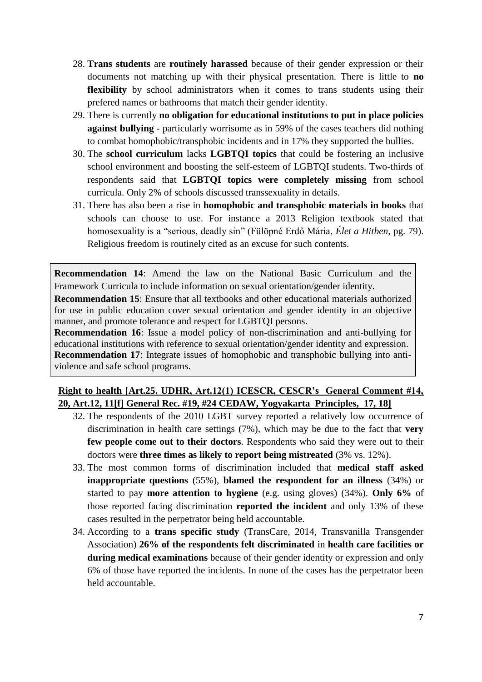- 28. **Trans students** are **routinely harassed** because of their gender expression or their documents not matching up with their physical presentation. There is little to **no flexibility** by school administrators when it comes to trans students using their prefered names or bathrooms that match their gender identity.
- 29. There is currently **no obligation for educational institutions to put in place policies against bullying** - particularly worrisome as in 59% of the cases teachers did nothing to combat homophobic/transphobic incidents and in 17% they supported the bullies.
- 30. The **school curriculum** lacks **LGBTQI topics** that could be fostering an inclusive school environment and boosting the self-esteem of LGBTQI students. Two-thirds of respondents said that **LGBTQI topics were completely missing** from school curricula. Only 2% of schools discussed transsexuality in details.
- 31. There has also been a rise in **homophobic and transphobic materials in books** that schools can choose to use. For instance a 2013 Religion textbook stated that homosexuality is a "serious, deadly sin" (Fülöpné Erdő Mária, *Élet a Hitben,* pg. 79). Religious freedom is routinely cited as an excuse for such contents.

**Recommendation 14**: Amend the law on the National Basic Curriculum and the Framework Curricula to include information on sexual orientation/gender identity.

**Recommendation 15**: Ensure that all textbooks and other educational materials authorized for use in public education cover sexual orientation and gender identity in an objective manner, and promote tolerance and respect for LGBTQI persons.

**Recommendation 16**: Issue a model policy of non-discrimination and anti-bullying for educational institutions with reference to sexual orientation/gender identity and expression. **Recommendation 17**: Integrate issues of homophobic and transphobic bullying into antiviolence and safe school programs.

#### **Right to health [Art.25. UDHR, Art.12(1) ICESCR, CESCR's General Comment #14, 20, Art.12, 11[f] General Rec. #19, #24 CEDAW, Yogyakarta Principles, 17, 18]**

- 32. The respondents of the 2010 LGBT survey reported a relatively low occurrence of discrimination in health care settings (7%), which may be due to the fact that **very few people come out to their doctors**. Respondents who said they were out to their doctors were **three times as likely to report being mistreated** (3% vs. 12%).
- 33. The most common forms of discrimination included that **medical staff asked inappropriate questions** (55%), **blamed the respondent for an illness** (34%) or started to pay **more attention to hygiene** (e.g. using gloves) (34%). **Only 6%** of those reported facing discrimination **reported the incident** and only 13% of these cases resulted in the perpetrator being held accountable.
- 34. According to a **trans specific study** (TransCare, 2014, Transvanilla Transgender Association) **26% of the respondents felt discriminated** in **health care facilities or during medical examinations** because of their gender identity or expression and only 6% of those have reported the incidents. In none of the cases has the perpetrator been held accountable.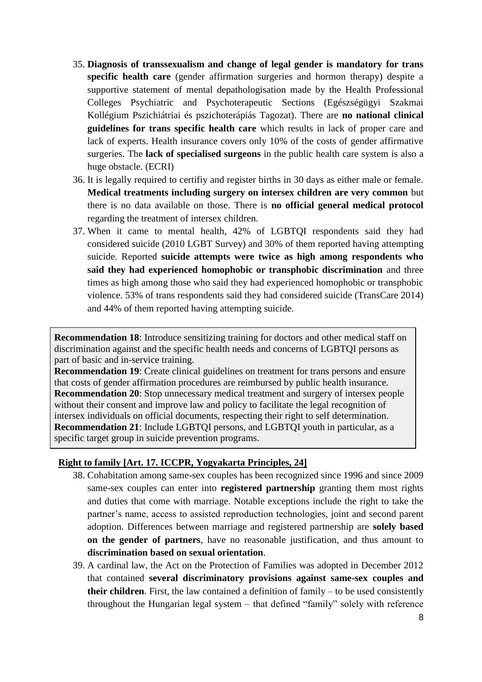- 35. **Diagnosis of transsexualism and change of legal gender is mandatory for trans specific health care** (gender affirmation surgeries and hormon therapy) despite a supportive statement of mental depathologisation made by the Health Professional Colleges Psychiatric and Psychoterapeutic Sections (Egészségügyi Szakmai Kollégium Pszichiátriai és pszichoterápiás Tagozat). There are **no national clinical guidelines for trans specific health care** which results in lack of proper care and lack of experts. Health insurance covers only 10% of the costs of gender affirmative surgeries. The **lack of specialised surgeons** in the public health care system is also a huge obstacle. (ECRI)
- 36. It is legally required to certifiy and register births in 30 days as either male or female. **Medical treatments including surgery on intersex children are very common** but there is no data available on those. There is **no official general medical protocol**  regarding the treatment of intersex children.
- 37. When it came to mental health, 42% of LGBTQI respondents said they had considered suicide (2010 LGBT Survey) and 30% of them reported having attempting suicide. Reported **suicide attempts were twice as high among respondents who said they had experienced homophobic or transphobic discrimination** and three times as high among those who said they had experienced homophobic or transphobic violence. 53% of trans respondents said they had considered suicide (TransCare 2014) and 44% of them reported having attempting suicide.

**Recommendation 18:** Introduce sensitizing training for doctors and other medical staff on discrimination against and the specific health needs and concerns of LGBTQI persons as part of basic and in-service training.

**Recommendation 19:** Create clinical guidelines on treatment for trans persons and ensure that costs of gender affirmation procedures are reimbursed by public health insurance. **Recommendation 20**: Stop unnecessary medical treatment and surgery of intersex people without their consent and improve law and policy to facilitate the legal recognition of intersex individuals on official documents, respecting their right to self determination. **Recommendation 21**: Include LGBTQI persons, and LGBTQI youth in particular, as a specific target group in suicide prevention programs.

#### **Right to family [Art. 17. ICCPR, Yogyakarta Principles, 24]**

- 38. Cohabitation among same-sex couples has been recognized since 1996 and since 2009 same-sex couples can enter into **registered partnership** granting them most rights and duties that come with marriage. Notable exceptions include the right to take the partner's name, access to assisted reproduction technologies, joint and second parent adoption. Differences between marriage and registered partnership are **solely based on the gender of partners**, have no reasonable justification, and thus amount to **discrimination based on sexual orientation**.
- 39. A cardinal law, the Act on the Protection of Families was adopted in December 2012 that contained **several discriminatory provisions against same-sex couples and their children**. First, the law contained a definition of family – to be used consistently throughout the Hungarian legal system – that defined "family" solely with reference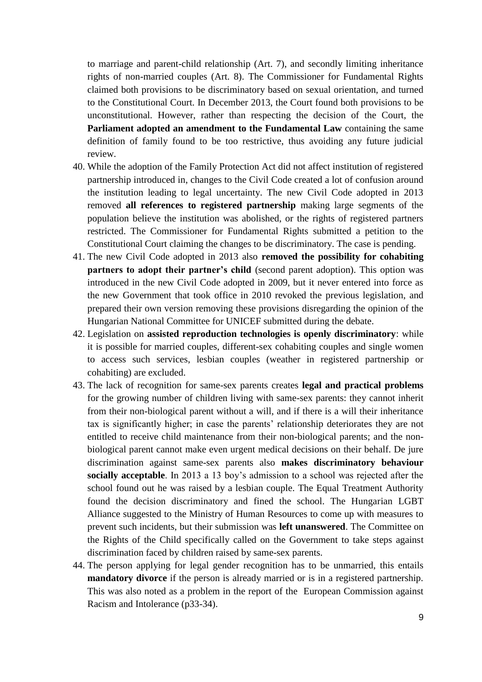to marriage and parent-child relationship (Art. 7), and secondly limiting inheritance rights of non-married couples (Art. 8). The Commissioner for Fundamental Rights claimed both provisions to be discriminatory based on sexual orientation, and turned to the Constitutional Court. In December 2013, the Court found both provisions to be unconstitutional. However, rather than respecting the decision of the Court, the **Parliament adopted an amendment to the Fundamental Law** containing the same definition of family found to be too restrictive, thus avoiding any future judicial review.

- 40. While the adoption of the Family Protection Act did not affect institution of registered partnership introduced in, changes to the Civil Code created a lot of confusion around the institution leading to legal uncertainty. The new Civil Code adopted in 2013 removed **all references to registered partnership** making large segments of the population believe the institution was abolished, or the rights of registered partners restricted. The Commissioner for Fundamental Rights submitted a petition to the Constitutional Court claiming the changes to be discriminatory. The case is pending.
- 41. The new Civil Code adopted in 2013 also **removed the possibility for cohabiting partners to adopt their partner's child** (second parent adoption). This option was introduced in the new Civil Code adopted in 2009, but it never entered into force as the new Government that took office in 2010 revoked the previous legislation, and prepared their own version removing these provisions disregarding the opinion of the Hungarian National Committee for UNICEF submitted during the debate.
- 42. Legislation on **assisted reproduction technologies is openly discriminatory**: while it is possible for married couples, different-sex cohabiting couples and single women to access such services, lesbian couples (weather in registered partnership or cohabiting) are excluded.
- 43. The lack of recognition for same-sex parents creates **legal and practical problems**  for the growing number of children living with same-sex parents: they cannot inherit from their non-biological parent without a will, and if there is a will their inheritance tax is significantly higher; in case the parents' relationship deteriorates they are not entitled to receive child maintenance from their non-biological parents; and the nonbiological parent cannot make even urgent medical decisions on their behalf. De jure discrimination against same-sex parents also **makes discriminatory behaviour socially acceptable**. In 2013 a 13 boy's admission to a school was rejected after the school found out he was raised by a lesbian couple. The Equal Treatment Authority found the decision discriminatory and fined the school. The Hungarian LGBT Alliance suggested to the Ministry of Human Resources to come up with measures to prevent such incidents, but their submission was **left unanswered**. The Committee on the Rights of the Child specifically called on the Government to take steps against discrimination faced by children raised by same-sex parents.
- 44. The person applying for legal gender recognition has to be unmarried, this entails **mandatory divorce** if the person is already married or is in a registered partnership. This was also noted as a problem in the report of the European Commission against Racism and Intolerance (p33-34).